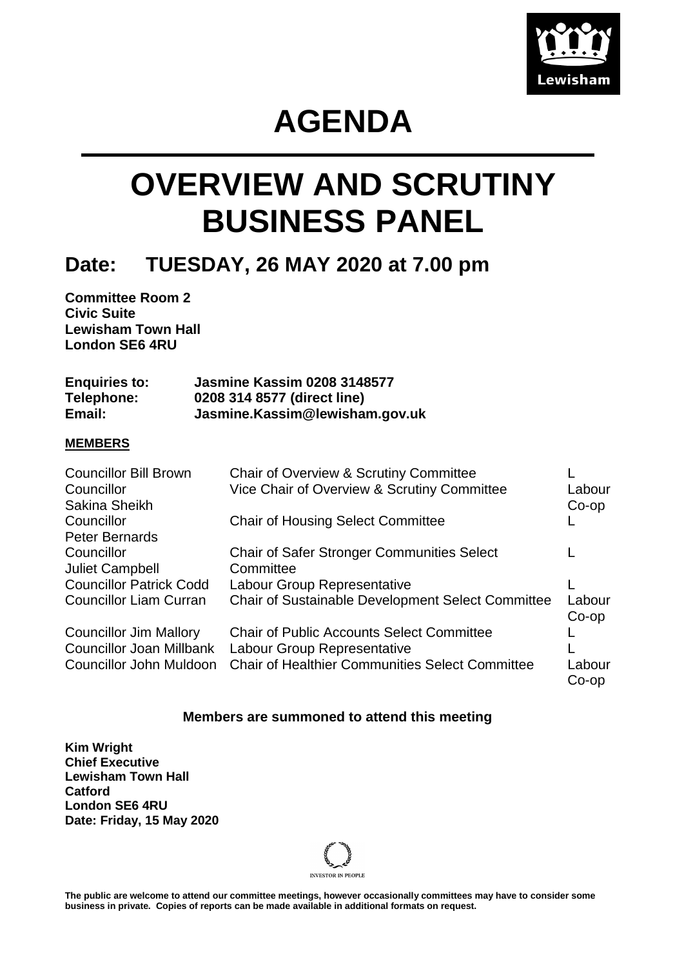

# **AGENDA**

# **OVERVIEW AND SCRUTINY BUSINESS PANEL**

### **Date: TUESDAY, 26 MAY 2020 at 7.00 pm**

**Committee Room 2 Civic Suite Lewisham Town Hall London SE6 4RU**

| <b>Enquiries to:</b> | <b>Jasmine Kassim 0208 3148577</b> |
|----------------------|------------------------------------|
| Telephone:           | 0208 314 8577 (direct line)        |
| Email:               | Jasmine.Kassim@lewisham.gov.uk     |

#### **MEMBERS**

| <b>Councillor Bill Brown</b><br>Councillor<br>Sakina Sheikh                                 | Chair of Overview & Scrutiny Committee<br>Vice Chair of Overview & Scrutiny Committee                                                     | Labour<br>$Co$ -op |
|---------------------------------------------------------------------------------------------|-------------------------------------------------------------------------------------------------------------------------------------------|--------------------|
| Councillor<br><b>Peter Bernards</b>                                                         | <b>Chair of Housing Select Committee</b>                                                                                                  |                    |
| Councillor<br><b>Juliet Campbell</b>                                                        | <b>Chair of Safer Stronger Communities Select</b><br>Committee                                                                            |                    |
| <b>Councillor Patrick Codd</b><br><b>Councillor Liam Curran</b>                             | Labour Group Representative<br><b>Chair of Sustainable Development Select Committee</b>                                                   | Labour             |
|                                                                                             |                                                                                                                                           | $Co$ -op           |
| <b>Councillor Jim Mallory</b><br><b>Councillor Joan Millbank</b><br>Councillor John Muldoon | <b>Chair of Public Accounts Select Committee</b><br>Labour Group Representative<br><b>Chair of Healthier Communities Select Committee</b> | Labour<br>Co-op    |

#### **Members are summoned to attend this meeting**

**Kim Wright Chief Executive Lewisham Town Hall Catford London SE6 4RU Date: Friday, 15 May 2020**



**The public are welcome to attend our committee meetings, however occasionally committees may have to consider some business in private. Copies of reports can be made available in additional formats on request.**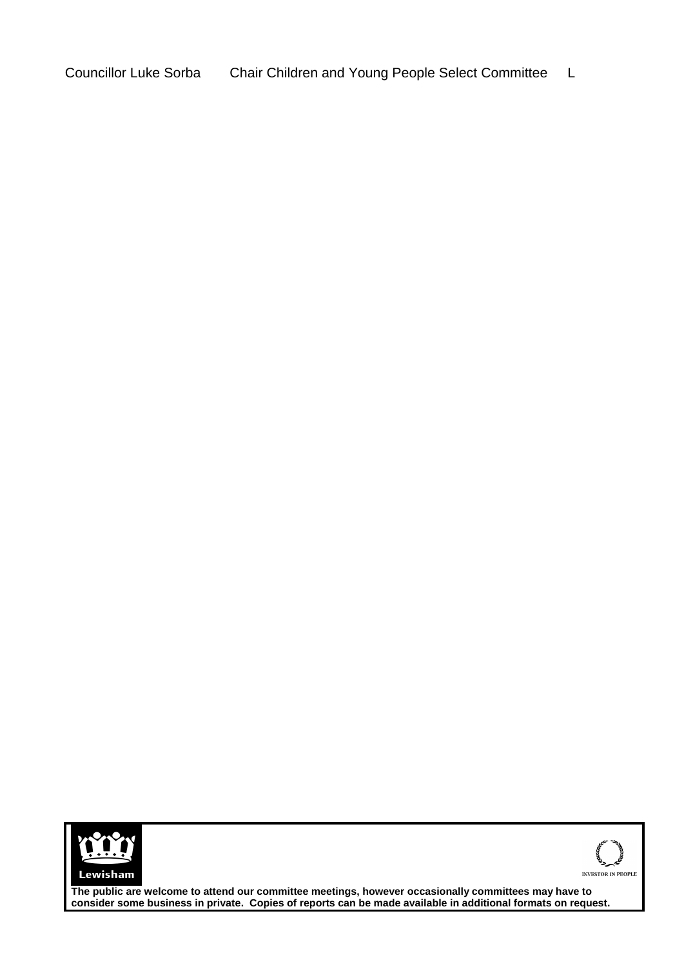Councillor Luke Sorba Chair Children and Young People Select Committee L





**The public are welcome to attend our committee meetings, however occasionally committees may have to consider some business in private. Copies of reports can be made available in additional formats on request.**